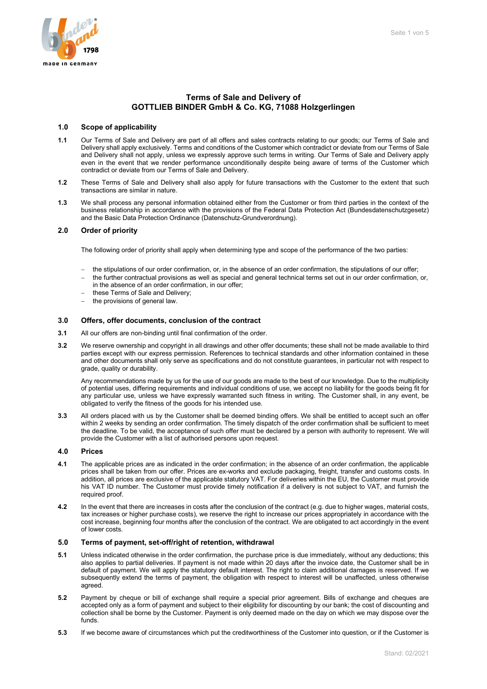# **Terms of Sale and Delivery of GOTTLIEB BINDER GmbH & Co. KG, 71088 Holzgerlingen**

### **1.0 Scope of applicability**

- **1.1** Our Terms of Sale and Delivery are part of all offers and sales contracts relating to our goods; our Terms of Sale and Delivery shall apply exclusively. Terms and conditions of the Customer which contradict or deviate from our Terms of Sale and Delivery shall not apply, unless we expressly approve such terms in writing. Our Terms of Sale and Delivery apply even in the event that we render performance unconditionally despite being aware of terms of the Customer which contradict or deviate from our Terms of Sale and Delivery.
- **1.2** These Terms of Sale and Delivery shall also apply for future transactions with the Customer to the extent that such transactions are similar in nature.
- **1.3** We shall process any personal information obtained either from the Customer or from third parties in the context of the business relationship in accordance with the provisions of the Federal Data Protection Act (Bundesdatenschutzgesetz) and the Basic Data Protection Ordinance (Datenschutz-Grundverordnung).

# **2.0 Order of priority**

The following order of priority shall apply when determining type and scope of the performance of the two parties:

- − the stipulations of our order confirmation, or, in the absence of an order confirmation, the stipulations of our offer;
- − the further contractual provisions as well as special and general technical terms set out in our order confirmation, or, in the absence of an order confirmation, in our offer;
- these Terms of Sale and Delivery;
- the provisions of general law.

# **3.0 Offers, offer documents, conclusion of the contract**

- **3.1** All our offers are non-binding until final confirmation of the order.
- **3.2** We reserve ownership and copyright in all drawings and other offer documents; these shall not be made available to third parties except with our express permission. References to technical standards and other information contained in these and other documents shall only serve as specifications and do not constitute guarantees, in particular not with respect to grade, quality or durability.

Any recommendations made by us for the use of our goods are made to the best of our knowledge. Due to the multiplicity of potential uses, differing requirements and individual conditions of use, we accept no liability for the goods being fit for any particular use, unless we have expressly warranted such fitness in writing. The Customer shall, in any event, be obligated to verify the fitness of the goods for his intended use.

**3.3** All orders placed with us by the Customer shall be deemed binding offers. We shall be entitled to accept such an offer within 2 weeks by sending an order confirmation. The timely dispatch of the order confirmation shall be sufficient to meet the deadline. To be valid, the acceptance of such offer must be declared by a person with authority to represent. We will provide the Customer with a list of authorised persons upon request.

### **4.0 Prices**

- **4.1** The applicable prices are as indicated in the order confirmation; in the absence of an order confirmation, the applicable prices shall be taken from our offer. Prices are ex-works and exclude packaging, freight, transfer and customs costs. In addition, all prices are exclusive of the applicable statutory VAT. For deliveries within the EU, the Customer must provide his VAT ID number. The Customer must provide timely notification if a delivery is not subject to VAT, and furnish the required proof.
- **4.2** In the event that there are increases in costs after the conclusion of the contract (e.g. due to higher wages, material costs, tax increases or higher purchase costs), we reserve the right to increase our prices appropriately in accordance with the cost increase, beginning four months after the conclusion of the contract. We are obligated to act accordingly in the event of lower costs.

## **5.0 Terms of payment, set-off/right of retention, withdrawal**

- **5.1** Unless indicated otherwise in the order confirmation, the purchase price is due immediately, without any deductions; this also applies to partial deliveries. If payment is not made within 20 days after the invoice date, the Customer shall be in default of payment. We will apply the statutory default interest. The right to claim additional damages is reserved. If we subsequently extend the terms of payment, the obligation with respect to interest will be unaffected, unless otherwise agreed.
- **5.2** Payment by cheque or bill of exchange shall require a special prior agreement. Bills of exchange and cheques are accepted only as a form of payment and subject to their eligibility for discounting by our bank; the cost of discounting and collection shall be borne by the Customer. Payment is only deemed made on the day on which we may dispose over the funds.
- **5.3** If we become aware of circumstances which put the creditworthiness of the Customer into question, or if the Customer is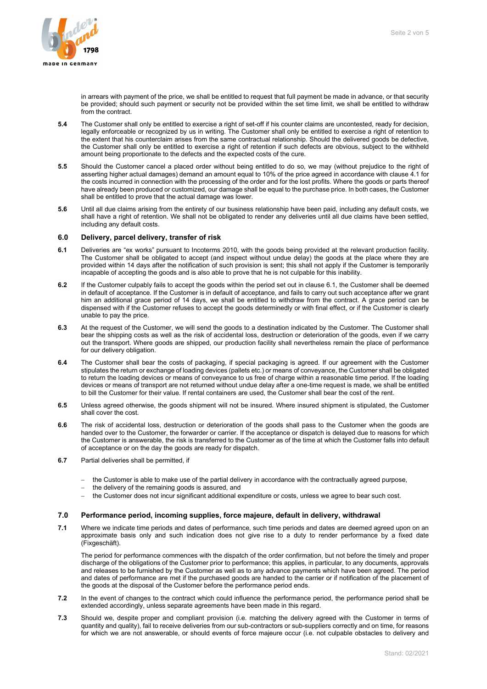

in arrears with payment of the price, we shall be entitled to request that full payment be made in advance, or that security be provided; should such payment or security not be provided within the set time limit, we shall be entitled to withdraw from the contract.

- **5.4** The Customer shall only be entitled to exercise a right of set-off if his counter claims are uncontested, ready for decision, legally enforceable or recognized by us in writing. The Customer shall only be entitled to exercise a right of retention to the extent that his counterclaim arises from the same contractual relationship. Should the delivered goods be defective, the Customer shall only be entitled to exercise a right of retention if such defects are obvious, subject to the withheld amount being proportionate to the defects and the expected costs of the cure.
- **5.5** Should the Customer cancel a placed order without being entitled to do so, we may (without prejudice to the right of asserting higher actual damages) demand an amount equal to 10% of the price agreed in accordance with clause 4.1 for the costs incurred in connection with the processing of the order and for the lost profits. Where the goods or parts thereof have already been produced or customized, our damage shall be equal to the purchase price. In both cases, the Customer shall be entitled to prove that the actual damage was lower.
- **5.6** Until all due claims arising from the entirety of our business relationship have been paid, including any default costs, we shall have a right of retention. We shall not be obligated to render any deliveries until all due claims have been settled, including any default costs.

## **6.0 Delivery, parcel delivery, transfer of risk**

- **6.1** Deliveries are "ex works" pursuant to Incoterms 2010, with the goods being provided at the relevant production facility. The Customer shall be obligated to accept (and inspect without undue delay) the goods at the place where they are provided within 14 days after the notification of such provision is sent; this shall not apply if the Customer is temporarily incapable of accepting the goods and is also able to prove that he is not culpable for this inability.
- **6.2** If the Customer culpably fails to accept the goods within the period set out in clause 6.1, the Customer shall be deemed in default of acceptance. If the Customer is in default of acceptance, and fails to carry out such acceptance after we grant him an additional grace period of 14 days, we shall be entitled to withdraw from the contract. A grace period can be dispensed with if the Customer refuses to accept the goods determinedly or with final effect, or if the Customer is clearly unable to pay the price.
- **6.3** At the request of the Customer, we will send the goods to a destination indicated by the Customer. The Customer shall bear the shipping costs as well as the risk of accidental loss, destruction or deterioration of the goods, even if we carry out the transport. Where goods are shipped, our production facility shall nevertheless remain the place of performance for our delivery obligation.
- **6.4** The Customer shall bear the costs of packaging, if special packaging is agreed. If our agreement with the Customer stipulates the return or exchange of loading devices (pallets etc.) or means of conveyance, the Customer shall be obligated to return the loading devices or means of conveyance to us free of charge within a reasonable time period. If the loading devices or means of transport are not returned without undue delay after a one-time request is made, we shall be entitled to bill the Customer for their value. If rental containers are used, the Customer shall bear the cost of the rent.
- **6.5** Unless agreed otherwise, the goods shipment will not be insured. Where insured shipment is stipulated, the Customer shall cover the cost.
- **6.6** The risk of accidental loss, destruction or deterioration of the goods shall pass to the Customer when the goods are handed over to the Customer, the forwarder or carrier. If the acceptance or dispatch is delayed due to reasons for which the Customer is answerable, the risk is transferred to the Customer as of the time at which the Customer falls into default of acceptance or on the day the goods are ready for dispatch.
- **6.7** Partial deliveries shall be permitted, if
	- − the Customer is able to make use of the partial delivery in accordance with the contractually agreed purpose,
	- the delivery of the remaining goods is assured, and
	- the Customer does not incur significant additional expenditure or costs, unless we agree to bear such cost.

# **7.0 Performance period, incoming supplies, force majeure, default in delivery, withdrawal**

**7.1** Where we indicate time periods and dates of performance, such time periods and dates are deemed agreed upon on an approximate basis only and such indication does not give rise to a duty to render performance by a fixed date (Fixgeschäft).

The period for performance commences with the dispatch of the order confirmation, but not before the timely and proper discharge of the obligations of the Customer prior to performance; this applies, in particular, to any documents, approvals and releases to be furnished by the Customer as well as to any advance payments which have been agreed. The period and dates of performance are met if the purchased goods are handed to the carrier or if notification of the placement of the goods at the disposal of the Customer before the performance period ends.

- **7.2** In the event of changes to the contract which could influence the performance period, the performance period shall be extended accordingly, unless separate agreements have been made in this regard.
- **7.3** Should we, despite proper and compliant provision (i.e. matching the delivery agreed with the Customer in terms of quantity and quality), fail to receive deliveries from our sub-contractors or sub-suppliers correctly and on time, for reasons for which we are not answerable, or should events of force majeure occur (i.e. not culpable obstacles to delivery and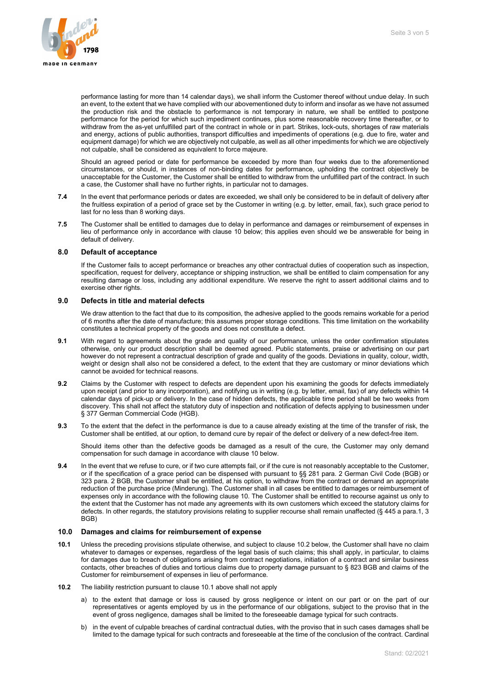

performance lasting for more than 14 calendar days), we shall inform the Customer thereof without undue delay. In such an event, to the extent that we have complied with our abovementioned duty to inform and insofar as we have not assumed the production risk and the obstacle to performance is not temporary in nature, we shall be entitled to postpone performance for the period for which such impediment continues, plus some reasonable recovery time thereafter, or to withdraw from the as-yet unfulfilled part of the contract in whole or in part. Strikes, lock-outs, shortages of raw materials and energy, actions of public authorities, transport difficulties and impediments of operations (e.g. due to fire, water and equipment damage) for which we are objectively not culpable, as well as all other impediments for which we are objectively not culpable, shall be considered as equivalent to force majeure.

Should an agreed period or date for performance be exceeded by more than four weeks due to the aforementioned circumstances, or should, in instances of non-binding dates for performance, upholding the contract objectively be unacceptable for the Customer, the Customer shall be entitled to withdraw from the unfulfilled part of the contract. In such a case, the Customer shall have no further rights, in particular not to damages.

- **7.4** In the event that performance periods or dates are exceeded, we shall only be considered to be in default of delivery after the fruitless expiration of a period of grace set by the Customer in writing (e.g. by letter, email, fax), such grace period to last for no less than 8 working days.
- **7.5** The Customer shall be entitled to damages due to delay in performance and damages or reimbursement of expenses in lieu of performance only in accordance with clause 10 below; this applies even should we be answerable for being in default of delivery.

#### **8.0 Default of acceptance**

If the Customer fails to accept performance or breaches any other contractual duties of cooperation such as inspection, specification, request for delivery, acceptance or shipping instruction, we shall be entitled to claim compensation for any resulting damage or loss, including any additional expenditure. We reserve the right to assert additional claims and to exercise other rights.

#### **9.0 Defects in title and material defects**

We draw attention to the fact that due to its composition, the adhesive applied to the goods remains workable for a period of 6 months after the date of manufacture; this assumes proper storage conditions. This time limitation on the workability constitutes a technical property of the goods and does not constitute a defect.

- **9.1** With regard to agreements about the grade and quality of our performance, unless the order confirmation stipulates otherwise, only our product description shall be deemed agreed. Public statements, praise or advertising on our part however do not represent a contractual description of grade and quality of the goods. Deviations in quality, colour, width, weight or design shall also not be considered a defect, to the extent that they are customary or minor deviations which cannot be avoided for technical reasons.
- **9.2** Claims by the Customer with respect to defects are dependent upon his examining the goods for defects immediately upon receipt (and prior to any incorporation), and notifying us in writing (e.g. by letter, email, fax) of any defects within 14 calendar days of pick-up or delivery. In the case of hidden defects, the applicable time period shall be two weeks from discovery. This shall not affect the statutory duty of inspection and notification of defects applying to businessmen under § 377 German Commercial Code (HGB).
- **9.3** To the extent that the defect in the performance is due to a cause already existing at the time of the transfer of risk, the Customer shall be entitled, at our option, to demand cure by repair of the defect or delivery of a new defect-free item.

Should items other than the defective goods be damaged as a result of the cure, the Customer may only demand compensation for such damage in accordance with clause 10 below.

**9.4** In the event that we refuse to cure, or if two cure attempts fail, or if the cure is not reasonably acceptable to the Customer, or if the specification of a grace period can be dispensed with pursuant to §§ 281 para. 2 German Civil Code (BGB) or 323 para. 2 BGB, the Customer shall be entitled, at his option, to withdraw from the contract or demand an appropriate reduction of the purchase price (Minderung). The Customer shall in all cases be entitled to damages or reimbursement of expenses only in accordance with the following clause 10. The Customer shall be entitled to recourse against us only to the extent that the Customer has not made any agreements with its own customers which exceed the statutory claims for defects. In other regards, the statutory provisions relating to supplier recourse shall remain unaffected (§ 445 a para.1, 3 BGB)

### **10.0 Damages and claims for reimbursement of expense**

- **10.1** Unless the preceding provisions stipulate otherwise, and subject to clause 10.2 below, the Customer shall have no claim whatever to damages or expenses, regardless of the legal basis of such claims; this shall apply, in particular, to claims for damages due to breach of obligations arising from contract negotiations, initiation of a contract and similar business contacts, other breaches of duties and tortious claims due to property damage pursuant to § 823 BGB and claims of the Customer for reimbursement of expenses in lieu of performance.
- **10.2** The liability restriction pursuant to clause 10.1 above shall not apply
	- a) to the extent that damage or loss is caused by gross negligence or intent on our part or on the part of our representatives or agents employed by us in the performance of our obligations, subject to the proviso that in the event of gross negligence, damages shall be limited to the foreseeable damage typical for such contracts.
	- b) in the event of culpable breaches of cardinal contractual duties, with the proviso that in such cases damages shall be limited to the damage typical for such contracts and foreseeable at the time of the conclusion of the contract. Cardinal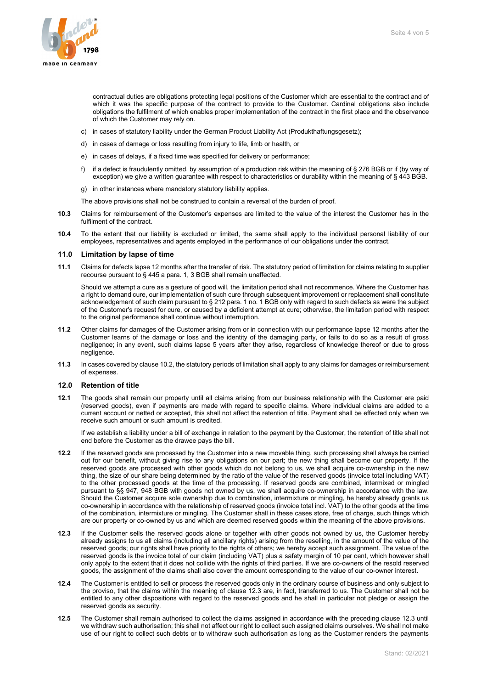

contractual duties are obligations protecting legal positions of the Customer which are essential to the contract and of which it was the specific purpose of the contract to provide to the Customer. Cardinal obligations also include obligations the fulfilment of which enables proper implementation of the contract in the first place and the observance of which the Customer may rely on.

- c) in cases of statutory liability under the German Product Liability Act (Produkthaftungsgesetz);
- d) in cases of damage or loss resulting from injury to life, limb or health, or
- e) in cases of delays, if a fixed time was specified for delivery or performance;
- f) if a defect is fraudulently omitted, by assumption of a production risk within the meaning of § 276 BGB or if (by way of exception) we give a written guarantee with respect to characteristics or durability within the meaning of § 443 BGB.
- g) in other instances where mandatory statutory liability applies.

The above provisions shall not be construed to contain a reversal of the burden of proof.

- **10.3** Claims for reimbursement of the Customer's expenses are limited to the value of the interest the Customer has in the fulfilment of the contract.
- **10.4** To the extent that our liability is excluded or limited, the same shall apply to the individual personal liability of our employees, representatives and agents employed in the performance of our obligations under the contract.

#### **11.0 Limitation by lapse of time**

**11.1** Claims for defects lapse 12 months after the transfer of risk. The statutory period of limitation for claims relating to supplier recourse pursuant to § 445 a para. 1, 3 BGB shall remain unaffected.

Should we attempt a cure as a gesture of good will, the limitation period shall not recommence. Where the Customer has a right to demand cure, our implementation of such cure through subsequent improvement or replacement shall constitute acknowledgement of such claim pursuant to § 212 para. 1 no. 1 BGB only with regard to such defects as were the subject of the Customer's request for cure, or caused by a deficient attempt at cure; otherwise, the limitation period with respect to the original performance shall continue without interruption.

- **11.2** Other claims for damages of the Customer arising from or in connection with our performance lapse 12 months after the Customer learns of the damage or loss and the identity of the damaging party, or fails to do so as a result of gross negligence; in any event, such claims lapse 5 years after they arise, regardless of knowledge thereof or due to gross negligence.
- **11.3** In cases covered by clause 10.2, the statutory periods of limitation shall apply to any claims for damages or reimbursement of expenses.

#### **12.0 Retention of title**

**12.1** The goods shall remain our property until all claims arising from our business relationship with the Customer are paid (reserved goods), even if payments are made with regard to specific claims. Where individual claims are added to a current account or netted or accepted, this shall not affect the retention of title. Payment shall be effected only when we receive such amount or such amount is credited.

If we establish a liability under a bill of exchange in relation to the payment by the Customer, the retention of title shall not end before the Customer as the drawee pays the bill.

- **12.2** If the reserved goods are processed by the Customer into a new movable thing, such processing shall always be carried out for our benefit, without giving rise to any obligations on our part; the new thing shall become our property. If the reserved goods are processed with other goods which do not belong to us, we shall acquire co-ownership in the new thing, the size of our share being determined by the ratio of the value of the reserved goods (invoice total including VAT) to the other processed goods at the time of the processing. If reserved goods are combined, intermixed or mingled pursuant to §§ 947, 948 BGB with goods not owned by us, we shall acquire co-ownership in accordance with the law. Should the Customer acquire sole ownership due to combination, intermixture or mingling, he hereby already grants us co-ownership in accordance with the relationship of reserved goods (invoice total incl. VAT) to the other goods at the time of the combination, intermixture or mingling. The Customer shall in these cases store, free of charge, such things which are our property or co-owned by us and which are deemed reserved goods within the meaning of the above provisions.
- **12.3** If the Customer sells the reserved goods alone or together with other goods not owned by us, the Customer hereby already assigns to us all claims (including all ancillary rights) arising from the reselling, in the amount of the value of the reserved goods; our rights shall have priority to the rights of others; we hereby accept such assignment. The value of the reserved goods is the invoice total of our claim (including VAT) plus a safety margin of 10 per cent, which however shall only apply to the extent that it does not collide with the rights of third parties. If we are co-owners of the resold reserved goods, the assignment of the claims shall also cover the amount corresponding to the value of our co-owner interest.
- **12.4** The Customer is entitled to sell or process the reserved goods only in the ordinary course of business and only subject to the proviso, that the claims within the meaning of clause 12.3 are, in fact, transferred to us. The Customer shall not be entitled to any other dispositions with regard to the reserved goods and he shall in particular not pledge or assign the reserved goods as security.
- **12.5** The Customer shall remain authorised to collect the claims assigned in accordance with the preceding clause 12.3 until we withdraw such authorisation; this shall not affect our right to collect such assigned claims ourselves. We shall not make use of our right to collect such debts or to withdraw such authorisation as long as the Customer renders the payments